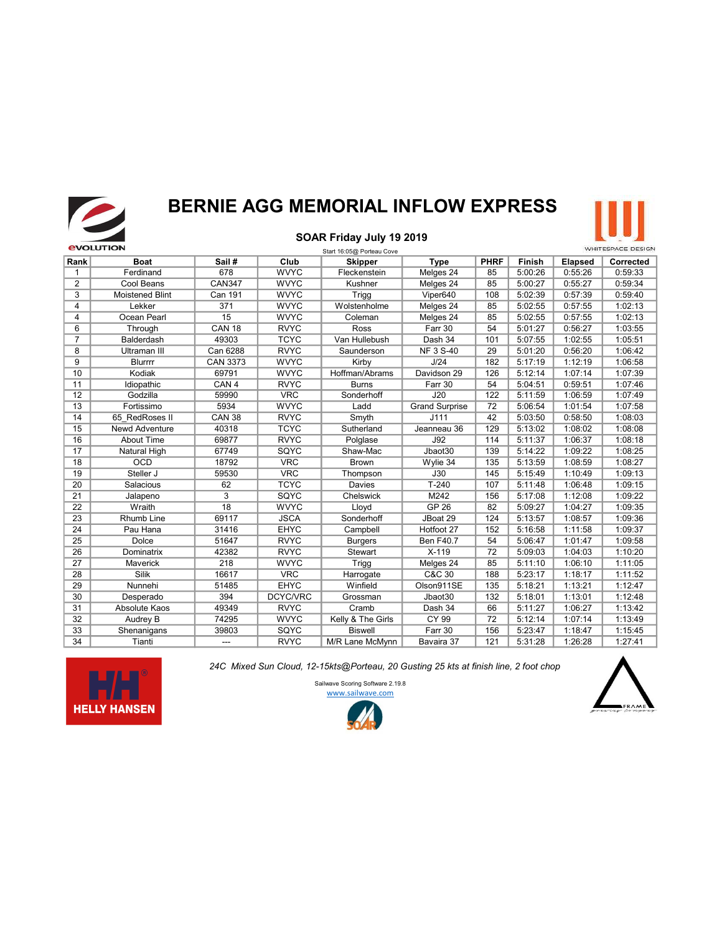

## BERNIE AGG MEMORIAL INFLOW EXPRESS



#### SOAR Friday July 19 2019

|                | <b>EVOLUTION</b>  |                  |             | Start 16:05@ Porteau Cove |                       | WHITESPACE DESIGN |               |                |           |  |
|----------------|-------------------|------------------|-------------|---------------------------|-----------------------|-------------------|---------------|----------------|-----------|--|
| Rank           | <b>Boat</b>       | Sail#            | Club        | <b>Skipper</b>            | <b>Type</b>           | <b>PHRF</b>       | <b>Finish</b> | <b>Elapsed</b> | Corrected |  |
| 1              | Ferdinand         | 678              | <b>WVYC</b> | Fleckenstein              | Melges 24             | 85                | 5:00:26       | 0:55:26        | 0:59:33   |  |
| 2              | Cool Beans        | <b>CAN347</b>    | <b>WVYC</b> | Kushner                   | Melges 24             | 85                | 5:00:27       | 0:55:27        | 0:59:34   |  |
| 3              | Moistened Blint   | <b>Can 191</b>   | <b>WVYC</b> | Trigg                     | Viper640              | 108               | 5:02:39       | 0:57:39        | 0:59:40   |  |
| 4              | Lekker            | 371              | <b>WVYC</b> | Wolstenholme              | Melges 24             | 85                | 5:02:55       | 0:57:55        | 1:02:13   |  |
| 4              | Ocean Pearl       | 15               | <b>WVYC</b> | Coleman                   | Melges 24             | 85                | 5:02:55       | 0:57:55        | 1:02:13   |  |
| 6              | Through           | <b>CAN 18</b>    | <b>RVYC</b> | <b>Ross</b>               | Farr 30               | 54                | 5:01:27       | 0:56:27        | 1:03:55   |  |
| $\overline{7}$ | Balderdash        | 49303            | <b>TCYC</b> | Van Hullebush             | Dash 34               | 101               | 5:07:55       | 1:02:55        | 1:05:51   |  |
| 8              | Ultraman III      | Can 6288         | <b>RVYC</b> | Saunderson                | NF 3 S-40             | 29                | 5:01:20       | 0:56:20        | 1:06:42   |  |
| 9              | Blurrrr           | <b>CAN 3373</b>  | <b>WVYC</b> | Kirby                     | J/24                  | 182               | 5:17:19       | 1:12:19        | 1:06:58   |  |
| 10             | Kodiak            | 69791            | <b>WVYC</b> | Hoffman/Abrams            | Davidson 29           | 126               | 5:12:14       | 1:07:14        | 1:07:39   |  |
| 11             | Idiopathic        | CAN <sub>4</sub> | <b>RVYC</b> | <b>Burns</b>              | Farr 30               | 54                | 5:04:51       | 0:59:51        | 1:07:46   |  |
| 12             | Godzilla          | 59990            | <b>VRC</b>  | Sonderhoff                | J20                   | 122               | 5:11:59       | 1:06:59        | 1:07:49   |  |
| 13             | Fortissimo        | 5934             | <b>WVYC</b> | Ladd                      | <b>Grand Surprise</b> | 72                | 5:06:54       | 1:01:54        | 1:07:58   |  |
| 14             | 65 RedRoses II    | <b>CAN 38</b>    | <b>RVYC</b> | Smyth                     | J111                  | 42                | 5:03:50       | 0:58:50        | 1:08:03   |  |
| 15             | Newd Adventure    | 40318            | <b>TCYC</b> | Sutherland                | Jeanneau 36           | 129               | 5:13:02       | 1:08:02        | 1:08:08   |  |
| 16             | <b>About Time</b> | 69877            | <b>RVYC</b> | Polglase                  | J92                   | 114               | 5:11:37       | 1:06:37        | 1:08:18   |  |
| 17             | Natural High      | 67749            | SQYC        | Shaw-Mac                  | Jbaot30               | 139               | 5:14:22       | 1:09:22        | 1:08:25   |  |
| 18             | <b>OCD</b>        | 18792            | <b>VRC</b>  | <b>Brown</b>              | Wylie 34              | 135               | 5:13:59       | 1:08:59        | 1:08:27   |  |
| 19             | Steller J         | 59530            | <b>VRC</b>  | Thompson                  | J30                   | 145               | 5:15:49       | 1:10:49        | 1:09:13   |  |
| 20             | Salacious         | 62               | <b>TCYC</b> | Davies                    | $T-240$               | 107               | 5:11:48       | 1:06:48        | 1:09:15   |  |
| 21             | Jalapeno          | 3                | SQYC        | Chelswick                 | M242                  | 156               | 5:17:08       | 1:12:08        | 1:09:22   |  |
| 22             | Wraith            | 18               | <b>WVYC</b> | Lloyd                     | <b>GP 26</b>          | 82                | 5:09:27       | 1:04:27        | 1:09:35   |  |
| 23             | Rhumb Line        | 69117            | <b>JSCA</b> | Sonderhoff                | JBoat 29              | 124               | 5:13:57       | 1:08:57        | 1:09:36   |  |
| 24             | Pau Hana          | 31416            | <b>EHYC</b> | Campbell                  | Hotfoot 27            | 152               | 5:16:58       | 1:11:58        | 1:09:37   |  |
| 25             | Dolce             | 51647            | <b>RVYC</b> | <b>Burgers</b>            | <b>Ben F40.7</b>      | 54                | 5:06:47       | 1:01:47        | 1:09:58   |  |
| 26             | Dominatrix        | 42382            | <b>RVYC</b> | <b>Stewart</b>            | $X-119$               | 72                | 5:09:03       | 1:04:03        | 1:10:20   |  |
| 27             | Maverick          | 218              | <b>WVYC</b> | Trigg                     | Melges 24             | 85                | 5:11:10       | 1:06:10        | 1:11:05   |  |
| 28             | Silik             | 16617            | <b>VRC</b>  | Harrogate                 | C&C 30                | 188               | 5:23:17       | 1:18:17        | 1:11:52   |  |
| 29             | Nunnehi           | 51485            | <b>EHYC</b> | Winfield                  | Olson911SE            | 135               | 5:18:21       | 1:13:21        | 1:12:47   |  |
| 30             | Desperado         | 394              | DCYC/VRC    | Grossman                  | Jbaot30               | 132               | 5:18:01       | 1:13:01        | 1:12:48   |  |
| 31             | Absolute Kaos     | 49349            | <b>RVYC</b> | Cramb                     | Dash 34               | 66                | 5:11:27       | 1:06:27        | 1:13:42   |  |
| 32             | Audrey B          | 74295            | <b>WVYC</b> | Kelly & The Girls         | <b>CY 99</b>          | 72                | 5:12:14       | 1:07:14        | 1:13:49   |  |
| 33             | Shenanigans       | 39803            | SQYC        | <b>Biswell</b>            | Farr 30               | 156               | 5:23:47       | 1:18:47        | 1:15:45   |  |
| 34             | Tianti            | ---              | <b>RVYC</b> | M/R Lane McMynn           | Bavaira 37            | 121               | 5:31:28       | 1:26:28        | 1:27:41   |  |

24C Mixed Sun Cloud, 12-15kts@Porteau, 20 Gusting 25 kts at finish line, 2 foot chop



Sailwave Scoring Software 2.19.8 www.sailwave.com

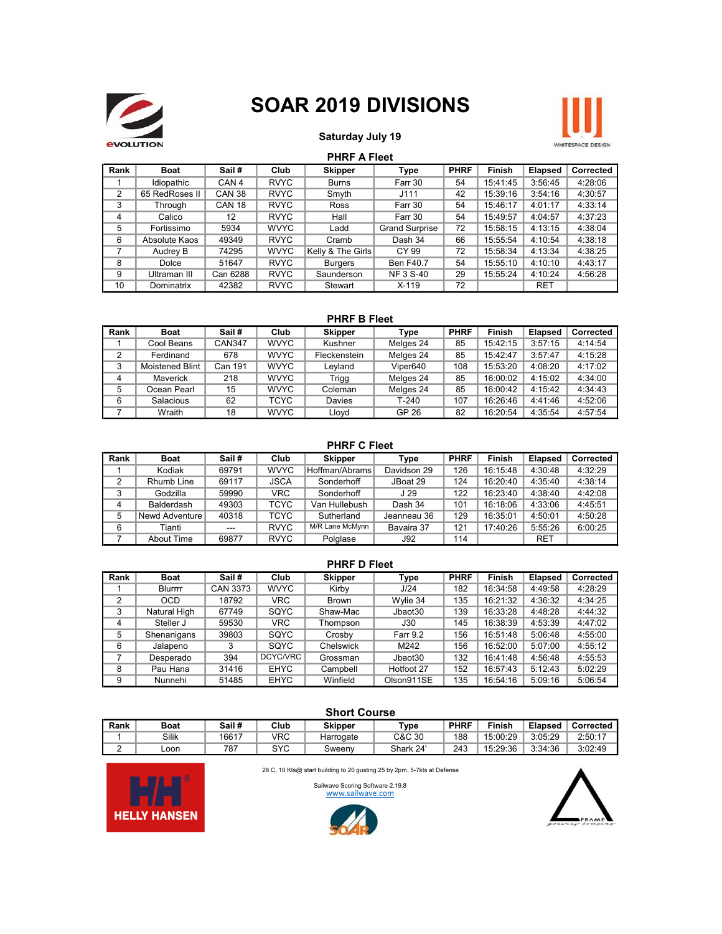

## SOAR 2019 DIVISIONS



#### Saturday July 19

| Rank | <b>Boat</b>    | Sail#            | Club        | <b>Skipper</b>    | <b>Type</b>           | <b>PHRF</b> | Finish   | <b>Elapsed</b> | <b>Corrected</b> |
|------|----------------|------------------|-------------|-------------------|-----------------------|-------------|----------|----------------|------------------|
|      | Idiopathic     | CAN <sub>4</sub> | <b>RVYC</b> | <b>Burns</b>      | Farr 30               | 54          | 15:41:45 | 3:56:45        | 4:28:06          |
| 2    | 65 RedRoses II | <b>CAN 38</b>    | <b>RVYC</b> | Smyth             | J111                  | 42          | 15:39:16 | 3:54:16        | 4:30:57          |
| 3    | Through        | <b>CAN 18</b>    | <b>RVYC</b> | Ross              | Farr 30               | 54          | 15:46:17 | 4:01:17        | 4:33:14          |
| 4    | Calico         | 12               | <b>RVYC</b> | Hall              | Farr 30               | 54          | 15:49:57 | 4:04:57        | 4:37:23          |
| 5    | Fortissimo     | 5934             | <b>WVYC</b> | Ladd              | <b>Grand Surprise</b> | 72          | 15:58:15 | 4:13:15        | 4:38:04          |
| 6    | Absolute Kaos  | 49349            | <b>RVYC</b> | Cramb             | Dash 34               | 66          | 15:55:54 | 4:10:54        | 4:38:18          |
|      | Audrey B       | 74295            | <b>WVYC</b> | Kelly & The Girls | CY 99                 | 72          | 15:58:34 | 4:13:34        | 4:38:25          |
| 8    | Dolce          | 51647            | <b>RVYC</b> | Burgers           | <b>Ben F40.7</b>      | 54          | 15:55:10 | 4:10:10        | 4:43:17          |
| 9    | Ultraman III   | Can 6288         | <b>RVYC</b> | Saunderson        | <b>NF 3 S-40</b>      | 29          | 15:55:24 | 4:10:24        | 4:56:28          |
| 10   | Dominatrix     | 42382            | <b>RVYC</b> | Stewart           | $X-119$               | 72          |          | <b>RET</b>     |                  |

#### PHRF B Fleet

| Rank | <b>Boat</b>            | Sail#         | Club        | <b>Skipper</b> | Type      | <b>PHRF</b> | Finish   | <b>Elapsed</b> | Corrected |
|------|------------------------|---------------|-------------|----------------|-----------|-------------|----------|----------------|-----------|
|      | Cool Beans             | <b>CAN347</b> | <b>WVYC</b> | Kushner        | Melges 24 | 85          | 15:42:15 | 3:57:15        | 4:14:54   |
| 2    | Ferdinand              | 678           | <b>WVYC</b> | Fleckenstein   | Melges 24 | 85          | 15:42:47 | 3:57:47        | 4:15:28   |
| 3    | <b>Moistened Blint</b> | Can 191       | <b>WVYC</b> | Leyland        | Viper640  | 108         | 15:53:20 | 4:08:20        | 4:17:02   |
| 4    | Maverick               | 218           | <b>WVYC</b> | Trigg          | Melges 24 | 85          | 16:00:02 | 4:15:02        | 4:34:00   |
| 5    | Ocean Pearl            | 15            | <b>WVYC</b> | Coleman        | Melges 24 | 85          | 16:00:42 | 4:15:42        | 4:34:43   |
| 6    | Salacious              | 62            | TCYC        | Davies         | $T-240$   | 107         | 16:26:46 | 4:41:46        | 4:52:06   |
|      | Wraith                 | 18            | <b>WVYC</b> | Llovd          | GP 26     | 82          | 16:20:54 | 4:35:54        | 4:57:54   |

|      | PART U FIGGL      |         |             |                 |             |             |          |                |                  |  |  |  |
|------|-------------------|---------|-------------|-----------------|-------------|-------------|----------|----------------|------------------|--|--|--|
| Rank | Boat              | Sail#   | Club        | <b>Skipper</b>  | Type        | <b>PHRF</b> | Finish   | <b>Elapsed</b> | <b>Corrected</b> |  |  |  |
|      | Kodiak            | 69791   | <b>WVYC</b> | Hoffman/Abrams  | Davidson 29 | 126         | 16:15:48 | 4:30:48        | 4:32:29          |  |  |  |
|      | <b>Rhumb Line</b> | 69117   | <b>JSCA</b> | Sonderhoff      | JBoat 29    | 124         | 16:20:40 | 4:35:40        | 4:38:14          |  |  |  |
| 3    | Godzilla          | 59990   | VRC         | Sonderhoff      | J 29        | 122         | 16:23:40 | 4:38:40        | 4:42:08          |  |  |  |
| 4    | Balderdash        | 49303   | <b>TCYC</b> | Van Hullebush   | Dash 34     | 101         | 16:18:06 | 4:33:06        | 4:45:51          |  |  |  |
| 5    | Newd Adventure    | 40318   | <b>TCYC</b> | Sutherland      | Jeanneau 36 | 129         | 16:35:01 | 4:50:01        | 4:50:28          |  |  |  |
| 6    | Tianti            | $- - -$ | <b>RVYC</b> | M/R Lane McMynn | Bavaira 37  | 121         | 17:40:26 | 5:55:26        | 6:00:25          |  |  |  |
|      | About Time        | 69877   | <b>RVYC</b> | Polglase        | J92         | 114         |          | <b>RET</b>     |                  |  |  |  |

| <b>PHRF D Fleet</b> |              |                 |             |                |                 |             |               |                |           |  |  |
|---------------------|--------------|-----------------|-------------|----------------|-----------------|-------------|---------------|----------------|-----------|--|--|
| Rank                | Boat         | Sail#           | Club        | <b>Skipper</b> | Type            | <b>PHRF</b> | <b>Finish</b> | <b>Elapsed</b> | Corrected |  |  |
|                     | Blurrrr      | <b>CAN 3373</b> | <b>WVYC</b> | Kirby          | J/24            | 182         | 16:34:58      | 4:49:58        | 4:28:29   |  |  |
| 2                   | OCD.         | 18792           | <b>VRC</b>  | <b>Brown</b>   | Wylie 34        | 135         | 16:21:32      | 4:36:32        | 4:34:25   |  |  |
| 3                   | Natural High | 67749           | SQYC        | Shaw-Mac       | Jbaot30         | 139         | 16:33:28      | 4:48:28        | 4:44:32   |  |  |
| 4                   | Steller J    | 59530           | VRC.        | Thompson       | J30             | 145         | 16:38:39      | 4:53:39        | 4:47:02   |  |  |
| 5                   | Shenanigans  | 39803           | SQYC        | Crosby         | <b>Farr 9.2</b> | 156         | 16:51:48      | 5:06:48        | 4:55:00   |  |  |
| 6                   | Jalapeno     | 3               | SQYC        | Chelswick      | M242            | 156         | 16:52:00      | 5:07:00        | 4:55:12   |  |  |
|                     | Desperado    | 394             | DCYC/VRC    | Grossman       | Jbaot30         | 132         | 16:41:48      | 4:56:48        | 4:55:53   |  |  |
| 8                   | Pau Hana     | 31416           | <b>EHYC</b> | Campbell       | Hotfoot 27      | 152         | 16:57:43      | 5:12:43        | 5:02:29   |  |  |
| 9                   | Nunnehi      | 51485           | <b>EHYC</b> | Winfield       | Olson911SE      | 135         | 16:54:16      | 5:09:16        | 5:06:54   |  |  |

| <b>Short Course</b> |                                                                                                                       |       |     |           |           |     |          |         |         |  |  |
|---------------------|-----------------------------------------------------------------------------------------------------------------------|-------|-----|-----------|-----------|-----|----------|---------|---------|--|--|
| Rank                | <b>PHRF</b><br>Sail#<br><b>Finish</b><br>Club<br><b>Elapsed</b><br><b>Skipper</b><br><b>Boat</b><br>Туре<br>Corrected |       |     |           |           |     |          |         |         |  |  |
|                     | <b>Silik</b>                                                                                                          | 16617 | VRC | Harrogate | C&C 30    | 188 | 15:00:29 | 3:05:29 | 2:50:17 |  |  |
| $\sqrt{2}$          | ∟oon                                                                                                                  | 787   | SYC | Sweenv    | Shark 24' | 243 | 15:29:36 | 3:34:36 | 3:02:49 |  |  |



28 C, 10 Kts@ start building to 20 gusting 25 by 2pm, 5-7kts at Defense

Sailwave Scoring Software 2.19.8 www.sailwave.com





#### PHRF C Fleet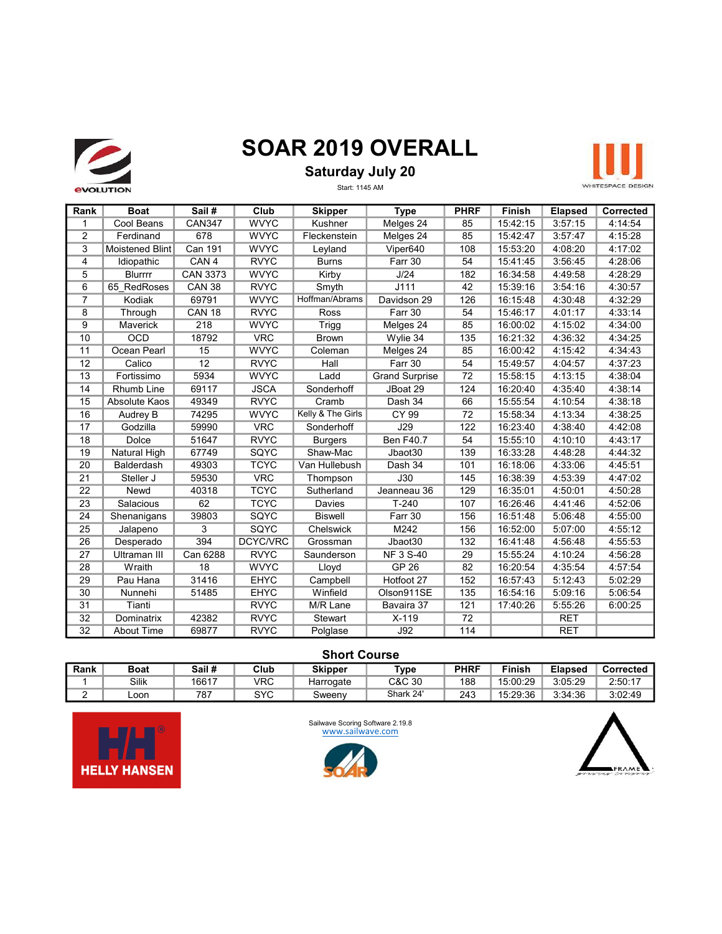

# SOAR 2019 OVERALL



#### Saturday July 20

Start: 1145 AM

| Rank           | <b>Boat</b>            | Sail#            | Club        | <b>Skipper</b>    | <b>Type</b>           | <b>PHRF</b> | Finish   | <b>Elapsed</b> | Corrected |
|----------------|------------------------|------------------|-------------|-------------------|-----------------------|-------------|----------|----------------|-----------|
| $\mathbf{1}$   | Cool Beans             | <b>CAN347</b>    | <b>WVYC</b> | Kushner           | Melges 24             | 85          | 15:42:15 | 3:57:15        | 4:14:54   |
| $\overline{2}$ | Ferdinand              | 678              | <b>WVYC</b> | Fleckenstein      | Melges 24             | 85          | 15:42:47 | 3:57:47        | 4:15:28   |
| 3              | <b>Moistened Blint</b> | <b>Can 191</b>   | <b>WVYC</b> | Leyland           | Viper640              | 108         | 15:53:20 | 4:08:20        | 4:17:02   |
| 4              | Idiopathic             | CAN <sub>4</sub> | <b>RVYC</b> | <b>Burns</b>      | Farr 30               | 54          | 15:41:45 | 3:56:45        | 4:28:06   |
| 5              | <b>Blurrrr</b>         | <b>CAN 3373</b>  | <b>WVYC</b> | Kirby             | J/24                  | 182         | 16:34:58 | 4:49:58        | 4:28:29   |
| 6              | 65 RedRoses            | <b>CAN 38</b>    | <b>RVYC</b> | Smyth             | J111                  | 42          | 15:39:16 | 3:54:16        | 4:30:57   |
| $\overline{7}$ | Kodiak                 | 69791            | <b>WVYC</b> | Hoffman/Abrams    | Davidson 29           | 126         | 16:15:48 | 4:30:48        | 4:32:29   |
| 8              | Through                | <b>CAN 18</b>    | <b>RVYC</b> | Ross              | Farr 30               | 54          | 15:46:17 | 4:01:17        | 4:33:14   |
| 9              | Maverick               | 218              | <b>WVYC</b> | Trigg             | Melges 24             | 85          | 16:00:02 | 4:15:02        | 4:34:00   |
| 10             | <b>OCD</b>             | 18792            | <b>VRC</b>  | <b>Brown</b>      | Wylie 34              | 135         | 16:21:32 | 4:36:32        | 4:34:25   |
| 11             | Ocean Pearl            | 15               | <b>WVYC</b> | Coleman           | Melges 24             | 85          | 16:00:42 | 4:15:42        | 4:34:43   |
| 12             | Calico                 | $\overline{12}$  | <b>RVYC</b> | Hall              | Farr 30               | 54          | 15:49:57 | 4:04:57        | 4:37:23   |
| 13             | Fortissimo             | 5934             | <b>WVYC</b> | Ladd              | <b>Grand Surprise</b> | 72          | 15:58:15 | 4:13:15        | 4:38:04   |
| 14             | <b>Rhumb Line</b>      | 69117            | <b>JSCA</b> | Sonderhoff        | JBoat 29              | 124         | 16:20:40 | 4:35:40        | 4:38:14   |
| 15             | Absolute Kaos          | 49349            | <b>RVYC</b> | Cramb             | Dash 34               | 66          | 15:55:54 | 4:10:54        | 4:38:18   |
| 16             | Audrey B               | 74295            | <b>WVYC</b> | Kelly & The Girls | CY 99                 | 72          | 15:58:34 | 4:13:34        | 4:38:25   |
| 17             | Godzilla               | 59990            | <b>VRC</b>  | Sonderhoff        | J29                   | 122         | 16:23:40 | 4:38:40        | 4:42:08   |
| 18             | Dolce                  | 51647            | <b>RVYC</b> | <b>Burgers</b>    | <b>Ben F40.7</b>      | 54          | 15:55:10 | 4:10:10        | 4:43:17   |
| 19             | Natural High           | 67749            | SQYC        | Shaw-Mac          | Jbaot30               | 139         | 16:33:28 | 4:48:28        | 4:44:32   |
| 20             | <b>Balderdash</b>      | 49303            | <b>TCYC</b> | Van Hullebush     | Dash 34               | 101         | 16:18:06 | 4:33:06        | 4:45:51   |
| 21             | Steller J              | 59530            | <b>VRC</b>  | Thompson          | J30                   | 145         | 16:38:39 | 4:53:39        | 4:47:02   |
| 22             | Newd                   | 40318            | <b>TCYC</b> | Sutherland        | Jeanneau 36           | 129         | 16:35:01 | 4:50:01        | 4:50:28   |
| 23             | Salacious              | 62               | <b>TCYC</b> | Davies            | $T-240$               | 107         | 16:26:46 | 4:41:46        | 4:52:06   |
| 24             | Shenanigans            | 39803            | SQYC        | <b>Biswell</b>    | Farr 30               | 156         | 16:51:48 | 5:06:48        | 4:55:00   |
| 25             | Jalapeno               | 3                | SQYC        | Chelswick         | M242                  | 156         | 16:52:00 | 5:07:00        | 4:55:12   |
| 26             | Desperado              | 394              | DCYC/VRC    | Grossman          | Jbaot30               | 132         | 16:41:48 | 4:56:48        | 4:55:53   |
| 27             | Ultraman III           | Can 6288         | <b>RVYC</b> | Saunderson        | <b>NF 3 S-40</b>      | 29          | 15:55:24 | 4:10:24        | 4:56:28   |
| 28             | Wraith                 | 18               | <b>WVYC</b> | Lloyd             | GP 26                 | 82          | 16:20:54 | 4:35:54        | 4:57:54   |
| 29             | Pau Hana               | 31416            | <b>EHYC</b> | Campbell          | Hotfoot <sub>27</sub> | 152         | 16:57:43 | 5:12:43        | 5:02:29   |
| 30             | Nunnehi                | 51485            | <b>EHYC</b> | Winfield          | Olson911SE            | 135         | 16:54:16 | 5:09:16        | 5:06:54   |
| 31             | Tianti                 |                  | <b>RVYC</b> | M/R Lane          | Bavaira 37            | 121         | 17:40:26 | 5:55:26        | 6:00:25   |
| 32             | Dominatrix             | 42382            | <b>RVYC</b> | <b>Stewart</b>    | $X-119$               | 72          |          | <b>RET</b>     |           |
| 32             | <b>About Time</b>      | 69877            | <b>RVYC</b> | Polglase          | J92                   | 114         |          | <b>RET</b>     |           |

#### Short Course

| Rank | <b>Boat</b> | Sail# | Club       | <b>Skipper</b> | Туре      | <b>PHRF</b> | Finish   | <b>Elapsed</b> | Corrected |
|------|-------------|-------|------------|----------------|-----------|-------------|----------|----------------|-----------|
|      | Silik       | 16617 | ∨RC        | Harrogate      | C&C 30    | 188         | 15:00:29 | 3:05:29        | 2:50:17   |
|      | Loon        | 787   | evr<br>- - | 3weenv         | Shark 24' | 243         | 15:29:36 | 3:34:36        | 3:02:49   |







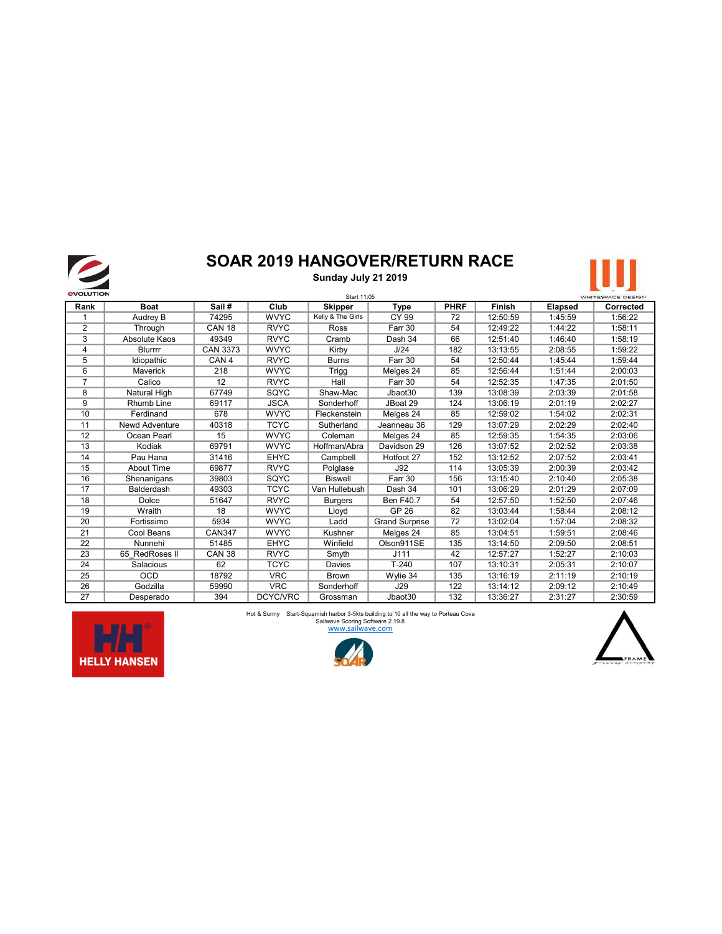# 

### SOAR 2019 HANGOVER/RETURN RACE

Sunday July 21 2019



| <b><i>EVOLUTION</i></b> |                   |                  |             | Start 11:05       |                       |             |               |                | <b>WHITESPACE DESIGN</b> |
|-------------------------|-------------------|------------------|-------------|-------------------|-----------------------|-------------|---------------|----------------|--------------------------|
| Rank                    | <b>Boat</b>       | Sail#            | Club        | <b>Skipper</b>    | <b>Type</b>           | <b>PHRF</b> | <b>Finish</b> | <b>Elapsed</b> | Corrected                |
|                         | Audrey B          | 74295            | <b>WVYC</b> | Kelly & The Girls | CY 99                 | 72          | 12:50:59      | 1:45:59        | 1:56:22                  |
| $\overline{2}$          | Through           | <b>CAN 18</b>    | <b>RVYC</b> | Ross              | Farr 30               | 54          | 12:49:22      | 1:44:22        | 1:58:11                  |
| 3                       | Absolute Kaos     | 49349            | <b>RVYC</b> | Cramb             | Dash 34               | 66          | 12:51:40      | 1:46:40        | 1:58:19                  |
| 4                       | Blurrrr           | <b>CAN 3373</b>  | <b>WVYC</b> | Kirby             | J/24                  | 182         | 13:13:55      | 2:08:55        | 1:59:22                  |
| 5                       | Idiopathic        | CAN <sub>4</sub> | <b>RVYC</b> | <b>Burns</b>      | Farr 30               | 54          | 12:50:44      | 1:45:44        | 1:59:44                  |
| 6                       | Maverick          | 218              | <b>WVYC</b> | Trigg             | Melges 24             | 85          | 12:56:44      | 1:51:44        | 2:00:03                  |
| $\overline{7}$          | Calico            | 12               | <b>RVYC</b> | Hall              | Farr 30               | 54          | 12:52:35      | 1:47:35        | 2:01:50                  |
| 8                       | Natural High      | 67749            | SQYC        | Shaw-Mac          | Jbaot30               | 139         | 13:08:39      | 2:03:39        | 2:01:58                  |
| 9                       | Rhumb Line        | 69117            | <b>JSCA</b> | Sonderhoff        | JBoat 29              | 124         | 13:06:19      | 2:01:19        | 2:02:27                  |
| 10                      | Ferdinand         | 678              | <b>WVYC</b> | Fleckenstein      | Melges 24             | 85          | 12:59:02      | 1:54:02        | 2:02:31                  |
| 11                      | Newd Adventure    | 40318            | <b>TCYC</b> | Sutherland        | Jeanneau 36           | 129         | 13:07:29      | 2:02:29        | 2:02:40                  |
| 12                      | Ocean Pearl       | 15               | <b>WVYC</b> | Coleman           | Melges 24             | 85          | 12:59:35      | 1:54:35        | 2:03:06                  |
| 13                      | Kodiak            | 69791            | <b>WVYC</b> | Hoffman/Abra      | Davidson 29           | 126         | 13:07:52      | 2:02:52        | 2:03:38                  |
| 14                      | Pau Hana          | 31416            | <b>EHYC</b> | Campbell          | Hotfoot 27            | 152         | 13:12:52      | 2:07:52        | 2:03:41                  |
| 15                      | <b>About Time</b> | 69877            | <b>RVYC</b> | Polglase          | <b>J92</b>            | 114         | 13:05:39      | 2:00:39        | 2:03:42                  |
| 16                      | Shenanigans       | 39803            | SQYC        | <b>Biswell</b>    | Farr 30               | 156         | 13:15:40      | 2:10:40        | 2:05:38                  |
| 17                      | Balderdash        | 49303            | <b>TCYC</b> | Van Hullebush     | Dash 34               | 101         | 13:06:29      | 2:01:29        | 2:07:09                  |
| 18                      | Dolce             | 51647            | <b>RVYC</b> | <b>Burgers</b>    | <b>Ben F40.7</b>      | 54          | 12:57:50      | 1:52:50        | 2:07:46                  |
| 19                      | Wraith            | 18               | <b>WVYC</b> | Lloyd             | GP 26                 | 82          | 13:03:44      | 1:58:44        | 2:08:12                  |
| 20                      | Fortissimo        | 5934             | <b>WVYC</b> | Ladd              | <b>Grand Surprise</b> | 72          | 13:02:04      | 1:57:04        | 2:08:32                  |
| 21                      | Cool Beans        | <b>CAN347</b>    | <b>WVYC</b> | Kushner           | Melges 24             | 85          | 13:04:51      | 1:59:51        | 2:08:46                  |
| 22                      | Nunnehi           | 51485            | <b>EHYC</b> | Winfield          | Olson911SE            | 135         | 13:14:50      | 2:09:50        | 2:08:51                  |
| 23                      | 65 RedRoses II    | <b>CAN 38</b>    | <b>RVYC</b> | Smyth             | J111                  | 42          | 12:57:27      | 1:52:27        | 2:10:03                  |
| 24                      | Salacious         | 62               | <b>TCYC</b> | Davies            | $T-240$               | 107         | 13:10:31      | 2:05:31        | 2:10:07                  |
| 25                      | <b>OCD</b>        | 18792            | <b>VRC</b>  | <b>Brown</b>      | Wylie 34              | 135         | 13:16:19      | 2:11:19        | 2:10:19                  |
| 26                      | Godzilla          | 59990            | <b>VRC</b>  | Sonderhoff        | J29                   | 122         | 13:14:12      | 2:09:12        | 2:10:49                  |
| 27                      | Desperado         | 394              | DCYC/VRC    | Grossman          | Jbaot30               | 132         | 13:36:27      | 2:31:27        | 2:30:59                  |



Hot & Sunny Start-Squamish harbor 3-5kts building to 10 all the way to Porteau Cove Sailwave Scoring Software 2.19.8